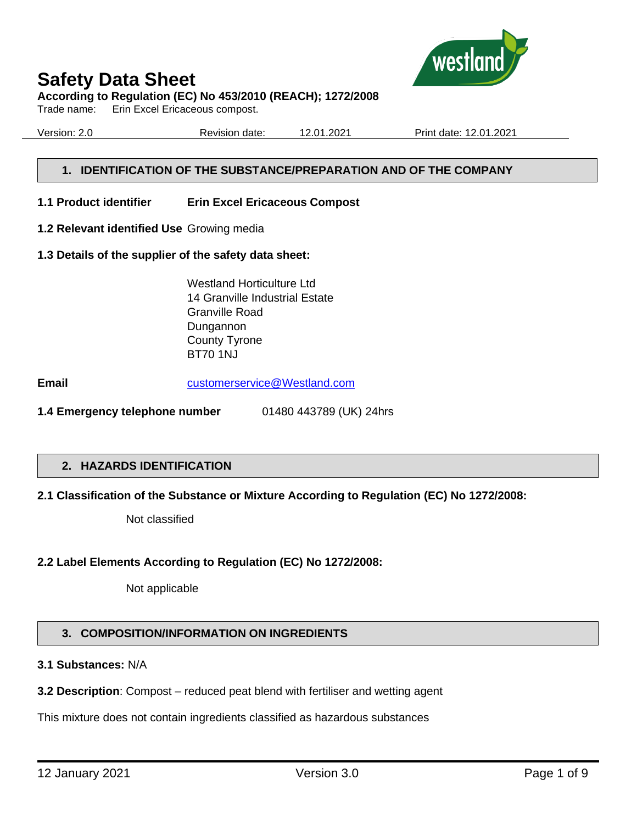

#### **According to Regulation (EC) No 453/2010 (REACH); 1272/2008**

Trade name: Erin Excel Ericaceous compost.

Version: 2.0 Revision date: 12.01.2021 Print date: 12.01.2021

## **1. IDENTIFICATION OF THE SUBSTANCE/PREPARATION AND OF THE COMPANY**

- **1.1 Product identifier Erin Excel Ericaceous Compost**
- **1.2 Relevant identified Use** Growing media
- **1.3 Details of the supplier of the safety data sheet:**

Westland Horticulture Ltd 14 Granville Industrial Estate Granville Road Dungannon County Tyrone BT70 1NJ

**Email** [customerservice@Westland.com](mailto:customerservice@Westland.com)

**1.4 Emergency telephone number** 01480 443789 (UK) 24hrs

#### **2. HAZARDS IDENTIFICATION**

#### **2.1 Classification of the Substance or Mixture According to Regulation (EC) No 1272/2008:**

Not classified

#### **2.2 Label Elements According to Regulation (EC) No 1272/2008:**

Not applicable

## **3. COMPOSITION/INFORMATION ON INGREDIENTS**

## **3.1 Substances:** N/A

**3.2 Description**: Compost – reduced peat blend with fertiliser and wetting agent

This mixture does not contain ingredients classified as hazardous substances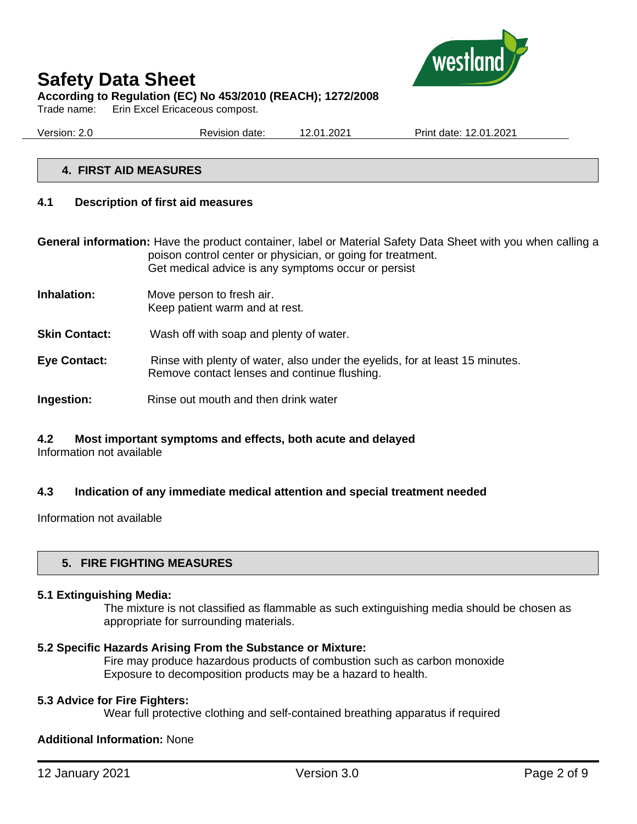

Trade name: Erin Excel Ericaceous compost.

Version: 2.0 Revision date: 12.01.2021 Print date: 12.01.2021

#### **4. FIRST AID MEASURES**

#### **4.1 Description of first aid measures**

**General information:** Have the product container, label or Material Safety Data Sheet with you when calling a poison control center or physician, or going for treatment. Get medical advice is any symptoms occur or persist

- **Inhalation:** Move person to fresh air. Keep patient warm and at rest.
- **Skin Contact:** Wash off with soap and plenty of water.
- **Eye Contact:** Rinse with plenty of water, also under the eyelids, for at least 15 minutes. Remove contact lenses and continue flushing.
- **Ingestion:** Rinse out mouth and then drink water

# **4.2 Most important symptoms and effects, both acute and delayed**

Information not available

#### **4.3 Indication of any immediate medical attention and special treatment needed**

Information not available

#### **5. FIRE FIGHTING MEASURES**

#### **5.1 Extinguishing Media:**

The mixture is not classified as flammable as such extinguishing media should be chosen as appropriate for surrounding materials.

#### **5.2 Specific Hazards Arising From the Substance or Mixture:**

Fire may produce hazardous products of combustion such as carbon monoxide Exposure to decomposition products may be a hazard to health.

#### **5.3 Advice for Fire Fighters:**

Wear full protective clothing and self-contained breathing apparatus if required

#### **Additional Information:** None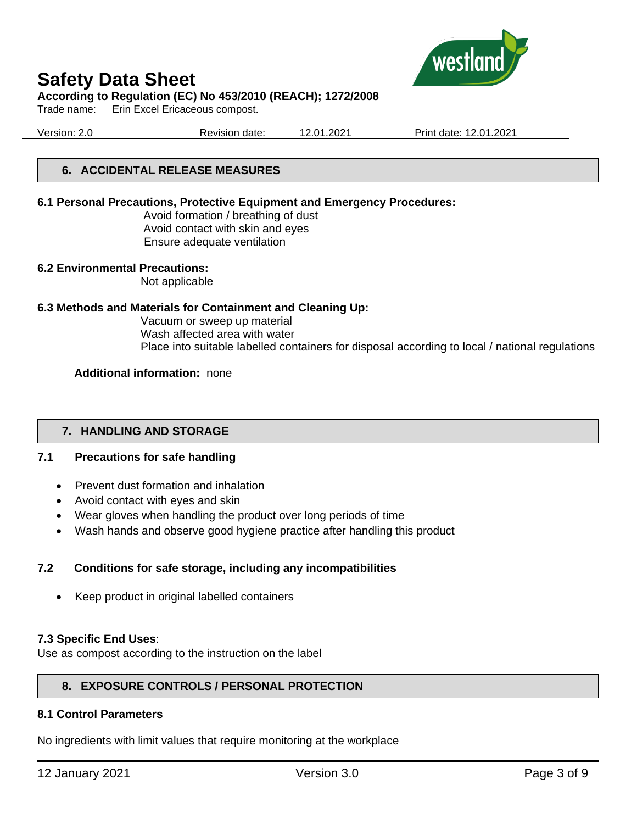

#### **According to Regulation (EC) No 453/2010 (REACH); 1272/2008**

Trade name: Erin Excel Ericaceous compost.

Version: 2.0 Revision date: 12.01.2021 Print date: 12.01.2021

### **6. ACCIDENTAL RELEASE MEASURES**

#### **6.1 Personal Precautions, Protective Equipment and Emergency Procedures:**

Avoid formation / breathing of dust Avoid contact with skin and eyes Ensure adequate ventilation

#### **6.2 Environmental Precautions:**

Not applicable

#### **6.3 Methods and Materials for Containment and Cleaning Up:**

Vacuum or sweep up material Wash affected area with water Place into suitable labelled containers for disposal according to local / national regulations

#### **Additional information:** none

#### **7. HANDLING AND STORAGE**

#### **7.1 Precautions for safe handling**

- Prevent dust formation and inhalation
- Avoid contact with eyes and skin
- Wear gloves when handling the product over long periods of time
- Wash hands and observe good hygiene practice after handling this product

#### **7.2 Conditions for safe storage, including any incompatibilities**

• Keep product in original labelled containers

#### **7.3 Specific End Uses**:

Use as compost according to the instruction on the label

#### **8. EXPOSURE CONTROLS / PERSONAL PROTECTION**

#### **8.1 Control Parameters**

No ingredients with limit values that require monitoring at the workplace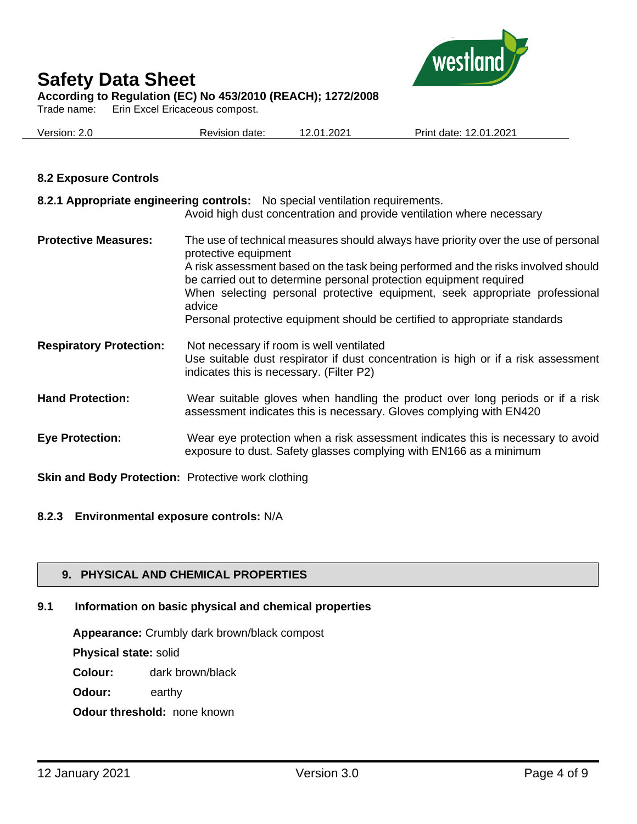

Trade name: Erin Excel Ericaceous compost.

| Version: 2.0 | Revision date: | 12.01.2021 | 12.01.2021<br>Print date: |
|--------------|----------------|------------|---------------------------|
|              |                |            |                           |

### **8.2 Exposure Controls**

|                                | 8.2.1 Appropriate engineering controls: No special ventilation requirements.<br>Avoid high dust concentration and provide ventilation where necessary                                                                                                                                                                                                                                                                                        |
|--------------------------------|----------------------------------------------------------------------------------------------------------------------------------------------------------------------------------------------------------------------------------------------------------------------------------------------------------------------------------------------------------------------------------------------------------------------------------------------|
| <b>Protective Measures:</b>    | The use of technical measures should always have priority over the use of personal<br>protective equipment<br>A risk assessment based on the task being performed and the risks involved should<br>be carried out to determine personal protection equipment required<br>When selecting personal protective equipment, seek appropriate professional<br>advice<br>Personal protective equipment should be certified to appropriate standards |
| <b>Respiratory Protection:</b> | Not necessary if room is well ventilated<br>Use suitable dust respirator if dust concentration is high or if a risk assessment<br>indicates this is necessary. (Filter P2)                                                                                                                                                                                                                                                                   |
| <b>Hand Protection:</b>        | Wear suitable gloves when handling the product over long periods or if a risk<br>assessment indicates this is necessary. Gloves complying with EN420                                                                                                                                                                                                                                                                                         |
| <b>Eye Protection:</b>         | Wear eye protection when a risk assessment indicates this is necessary to avoid<br>exposure to dust. Safety glasses complying with EN166 as a minimum                                                                                                                                                                                                                                                                                        |

**Skin and Body Protection:** Protective work clothing

#### **8.2.3 Environmental exposure controls:** N/A

## **9. PHYSICAL AND CHEMICAL PROPERTIES**

# **9.1 Information on basic physical and chemical properties**

**Appearance:** Crumbly dark brown/black compost

**Physical state:** solid

**Colour:** dark brown/black

**Odour:** earthy

**Odour threshold:** none known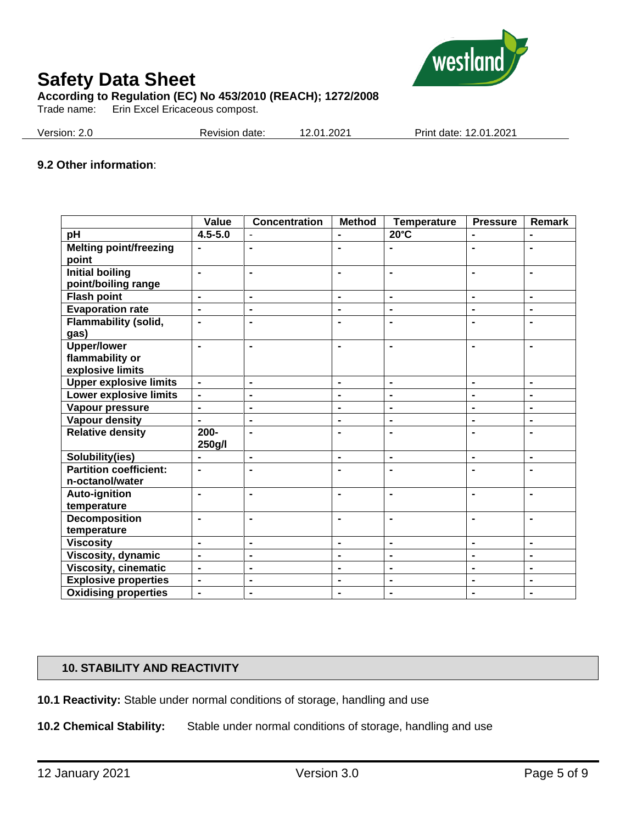

Trade name: Erin Excel Ericaceous compost.

| Version: 2.0 | Revision date: | 12.01.2021 | Print date: 12.01.2021 |
|--------------|----------------|------------|------------------------|
|              |                |            |                        |

#### **9.2 Other information**:

|                                               | Value                        | <b>Concentration</b> | <b>Method</b>  | <b>Temperature</b>       | <b>Pressure</b> | Remark         |
|-----------------------------------------------|------------------------------|----------------------|----------------|--------------------------|-----------------|----------------|
| $p\overline{H}$                               | $4.5 - 5.0$                  |                      | $\blacksquare$ | $20^{\circ}$ C           | $\blacksquare$  | ÷,             |
| <b>Melting point/freezing</b><br>point        | $\blacksquare$               | $\blacksquare$       | $\blacksquare$ |                          | $\blacksquare$  | $\blacksquare$ |
| <b>Initial boiling</b><br>point/boiling range | $\blacksquare$               | $\blacksquare$       | $\blacksquare$ | $\blacksquare$           | $\blacksquare$  | $\blacksquare$ |
| <b>Flash point</b>                            | $\blacksquare$               | $\blacksquare$       | $\blacksquare$ | $\blacksquare$           | $\blacksquare$  | $\blacksquare$ |
| <b>Evaporation rate</b>                       | $\qquad \qquad \blacksquare$ | $\blacksquare$       | $\blacksquare$ | $\blacksquare$           | ۰               | $\blacksquare$ |
| <b>Flammability (solid,</b><br>gas)           | $\blacksquare$               | $\blacksquare$       | $\blacksquare$ | $\blacksquare$           |                 | $\blacksquare$ |
| <b>Upper/lower</b>                            | $\blacksquare$               | $\blacksquare$       | $\blacksquare$ | $\blacksquare$           | $\blacksquare$  | $\blacksquare$ |
| flammability or                               |                              |                      |                |                          |                 |                |
| explosive limits                              |                              |                      |                |                          |                 |                |
| <b>Upper explosive limits</b>                 | $\qquad \qquad \blacksquare$ | $\blacksquare$       | $\blacksquare$ | $\blacksquare$           | $\blacksquare$  | $\blacksquare$ |
| Lower explosive limits                        | $\blacksquare$               | $\blacksquare$       | $\blacksquare$ | $\blacksquare$           | $\blacksquare$  | $\blacksquare$ |
| Vapour pressure                               | $\blacksquare$               | $\blacksquare$       | $\blacksquare$ | $\blacksquare$           | ۰               | $\blacksquare$ |
| <b>Vapour density</b>                         | ä,                           | $\blacksquare$       | $\blacksquare$ | $\blacksquare$           | $\blacksquare$  | $\blacksquare$ |
| <b>Relative density</b>                       | $200 -$<br>250g/l            | $\blacksquare$       | $\blacksquare$ | $\blacksquare$           | $\blacksquare$  | $\blacksquare$ |
| Solubility(ies)                               |                              | $\blacksquare$       | $\blacksquare$ | $\blacksquare$           | $\blacksquare$  | $\blacksquare$ |
| <b>Partition coefficient:</b>                 | $\blacksquare$               | $\blacksquare$       | $\blacksquare$ | $\blacksquare$           | $\blacksquare$  | $\blacksquare$ |
| n-octanol/water                               |                              |                      |                |                          |                 |                |
| <b>Auto-ignition</b>                          | $\blacksquare$               | $\blacksquare$       | $\blacksquare$ | $\blacksquare$           | $\blacksquare$  | $\blacksquare$ |
| temperature                                   |                              |                      |                |                          |                 |                |
| <b>Decomposition</b>                          | $\blacksquare$               | $\blacksquare$       | $\blacksquare$ | $\blacksquare$           | $\blacksquare$  | $\blacksquare$ |
| temperature                                   |                              |                      |                |                          |                 |                |
| <b>Viscosity</b>                              | $\blacksquare$               | $\blacksquare$       | $\blacksquare$ | $\overline{\phantom{a}}$ | $\blacksquare$  | $\blacksquare$ |
| Viscosity, dynamic                            | $\overline{\phantom{0}}$     | $\blacksquare$       | $\blacksquare$ | $\blacksquare$           | $\blacksquare$  | $\blacksquare$ |
| <b>Viscosity, cinematic</b>                   | $\blacksquare$               | $\blacksquare$       | $\blacksquare$ | $\blacksquare$           | ۰               | $\blacksquare$ |
| <b>Explosive properties</b>                   | $\blacksquare$               | $\blacksquare$       | $\blacksquare$ | $\blacksquare$           | $\blacksquare$  | $\blacksquare$ |
| <b>Oxidising properties</b>                   | $\qquad \qquad \blacksquare$ | $\blacksquare$       | $\blacksquare$ | $\blacksquare$           | $\blacksquare$  | $\blacksquare$ |

#### **10. STABILITY AND REACTIVITY**

**10.1 Reactivity:** Stable under normal conditions of storage, handling and use

**10.2 Chemical Stability:** Stable under normal conditions of storage, handling and use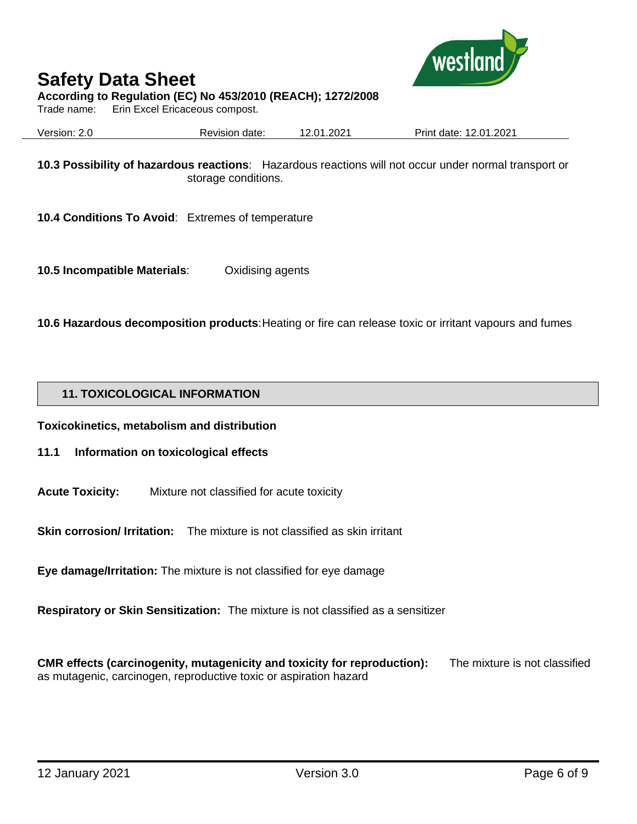

### **According to Regulation (EC) No 453/2010 (REACH); 1272/2008**

Trade name: Erin Excel Ericaceous compost.

Version: 2.0 Revision date: 12.01.2021 Print date: 12.01.2021

**10.3 Possibility of hazardous reactions**: Hazardous reactions will not occur under normal transport or storage conditions.

**10.4 Conditions To Avoid**: Extremes of temperature

**10.5 Incompatible Materials**: Oxidising agents

**10.6 Hazardous decomposition products**: Heating or fire can release toxic or irritant vapours and fumes

#### **11. TOXICOLOGICAL INFORMATION**

**Toxicokinetics, metabolism and distribution**

- **11.1 Information on toxicological effects**
- **Acute Toxicity:** Mixture not classified for acute toxicity

**Skin corrosion/ Irritation:** The mixture is not classified as skin irritant

**Eye damage/Irritation:** The mixture is not classified for eye damage

**Respiratory or Skin Sensitization:** The mixture is not classified as a sensitizer

**CMR effects (carcinogenity, mutagenicity and toxicity for reproduction):** The mixture is not classified as mutagenic, carcinogen, reproductive toxic or aspiration hazard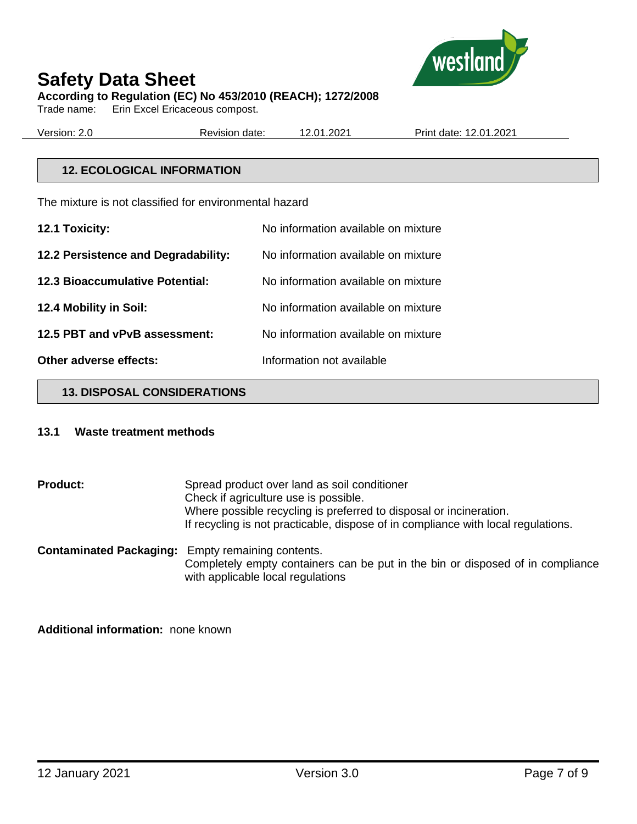

Trade name: Erin Excel Ericaceous compost.

| Version: 2.0 | Revision date: | 12.01.2021 | Print date: 12.01.2021 |
|--------------|----------------|------------|------------------------|
|              |                |            |                        |

### **12. ECOLOGICAL INFORMATION**

The mixture is not classified for environmental hazard

| 12.1 Toxicity:                         | No information available on mixture |
|----------------------------------------|-------------------------------------|
| 12.2 Persistence and Degradability:    | No information available on mixture |
| <b>12.3 Bioaccumulative Potential:</b> | No information available on mixture |
| 12.4 Mobility in Soil:                 | No information available on mixture |
| 12.5 PBT and vPvB assessment:          | No information available on mixture |
| Other adverse effects:                 | Information not available           |

#### **13. DISPOSAL CONSIDERATIONS**

#### **13.1 Waste treatment methods**

**Product:** Spread product over land as soil conditioner Check if agriculture use is possible. Where possible recycling is preferred to disposal or incineration. If recycling is not practicable, dispose of in compliance with local regulations. **Contaminated Packaging:** Empty remaining contents. Completely empty containers can be put in the bin or disposed of in compliance

with applicable local regulations

**Additional information:** none known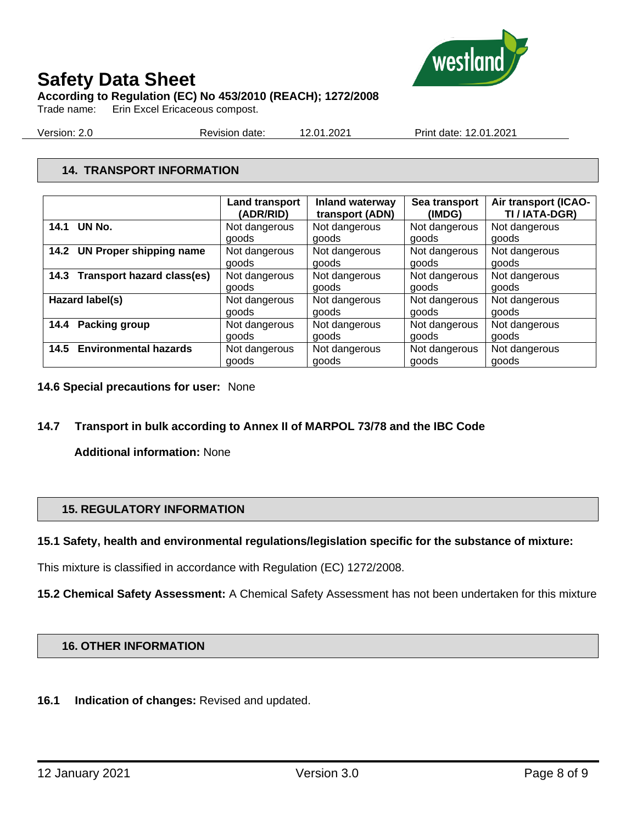

**According to Regulation (EC) No 453/2010 (REACH); 1272/2008**

Trade name: Erin Excel Ericaceous compost.

Version: 2.0 Revision date: 12.01.2021 Print date: 12.01.2021

# **14. TRANSPORT INFORMATION**

|                                 | <b>Land transport</b><br>(ADR/RID) | Inland waterway<br>transport (ADN) | Sea transport<br>(IMDG) | Air transport (ICAO-<br>TI / IATA-DGR) |
|---------------------------------|------------------------------------|------------------------------------|-------------------------|----------------------------------------|
| 14.1 UN No.                     |                                    |                                    |                         |                                        |
|                                 | Not dangerous                      | Not dangerous                      | Not dangerous           | Not dangerous                          |
|                                 | goods                              | goods                              | goods                   | goods                                  |
| 14.2 UN Proper shipping name    | Not dangerous                      | Not dangerous                      | Not dangerous           | Not dangerous                          |
|                                 | goods                              | goods                              | goods                   | goods                                  |
| 14.3 Transport hazard class(es) | Not dangerous                      | Not dangerous                      | Not dangerous           | Not dangerous                          |
|                                 | goods                              | goods                              | goods                   | goods                                  |
| Hazard label(s)                 | Not dangerous                      | Not dangerous                      | Not dangerous           | Not dangerous                          |
|                                 | goods                              | goods                              | goods                   | goods                                  |
| 14.4 Packing group              | Not dangerous                      | Not dangerous                      | Not dangerous           | Not dangerous                          |
|                                 | goods                              | goods                              | goods                   | goods                                  |
| 14.5 Environmental hazards      | Not dangerous                      | Not dangerous                      | Not dangerous           | Not dangerous                          |
|                                 | goods                              | goods                              | goods                   | goods                                  |

- **14.6 Special precautions for user:** None
- **14.7 Transport in bulk according to Annex II of MARPOL 73/78 and the IBC Code**

**Additional information:** None

## **15. REGULATORY INFORMATION**

#### **15.1 Safety, health and environmental regulations/legislation specific for the substance of mixture:**

This mixture is classified in accordance with Regulation (EC) 1272/2008.

**15.2 Chemical Safety Assessment:** A Chemical Safety Assessment has not been undertaken for this mixture

#### **16. OTHER INFORMATION**

**16.1 Indication of changes:** Revised and updated.